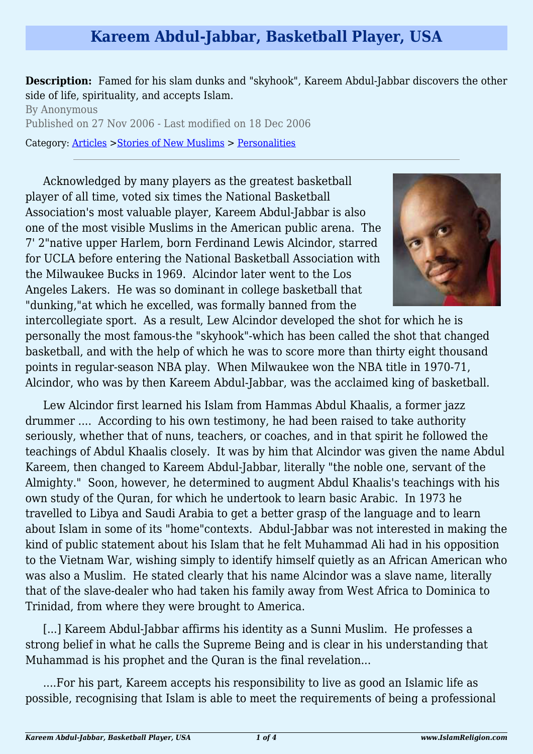## **Kareem Abdul-Jabbar, Basketball Player, USA**

**Description:** Famed for his slam dunks and "skyhook", Kareem Abdul-Jabbar discovers the other side of life, spirituality, and accepts Islam.

By Anonymous Published on 27 Nov 2006 - Last modified on 18 Dec 2006 Category: [Articles](http://www.islamreligion.com/articles/) >[Stories of New Muslims](http://www.islamreligion.com/category/63/) > [Personalities](http://www.islamreligion.com/category/67/)

Acknowledged by many players as the greatest basketball player of all time, voted six times the National Basketball Association's most valuable player, Kareem Abdul-Jabbar is also one of the most visible Muslims in the American public arena. The 7' 2"native upper Harlem, born Ferdinand Lewis Alcindor, starred for UCLA before entering the National Basketball Association with the Milwaukee Bucks in 1969. Alcindor later went to the Los Angeles Lakers. He was so dominant in college basketball that "dunking,"at which he excelled, was formally banned from the



intercollegiate sport. As a result, Lew Alcindor developed the shot for which he is personally the most famous-the "skyhook"-which has been called the shot that changed basketball, and with the help of which he was to score more than thirty eight thousand points in regular-season NBA play. When Milwaukee won the NBA title in 1970-71, Alcindor, who was by then Kareem Abdul-Jabbar, was the acclaimed king of basketball.

Lew Alcindor first learned his Islam from Hammas Abdul Khaalis, a former jazz drummer .... According to his own testimony, he had been raised to take authority seriously, whether that of nuns, teachers, or coaches, and in that spirit he followed the teachings of Abdul Khaalis closely. It was by him that Alcindor was given the name Abdul Kareem, then changed to Kareem Abdul-Jabbar, literally "the noble one, servant of the Almighty." Soon, however, he determined to augment Abdul Khaalis's teachings with his own study of the Quran, for which he undertook to learn basic Arabic. In 1973 he travelled to Libya and Saudi Arabia to get a better grasp of the language and to learn about Islam in some of its "home"contexts. Abdul-Jabbar was not interested in making the kind of public statement about his Islam that he felt Muhammad Ali had in his opposition to the Vietnam War, wishing simply to identify himself quietly as an African American who was also a Muslim. He stated clearly that his name Alcindor was a slave name, literally that of the slave-dealer who had taken his family away from West Africa to Dominica to Trinidad, from where they were brought to America.

[...] Kareem Abdul-Jabbar affirms his identity as a Sunni Muslim. He professes a strong belief in what he calls the Supreme Being and is clear in his understanding that Muhammad is his prophet and the Quran is the final revelation...

....For his part, Kareem accepts his responsibility to live as good an Islamic life as possible, recognising that Islam is able to meet the requirements of being a professional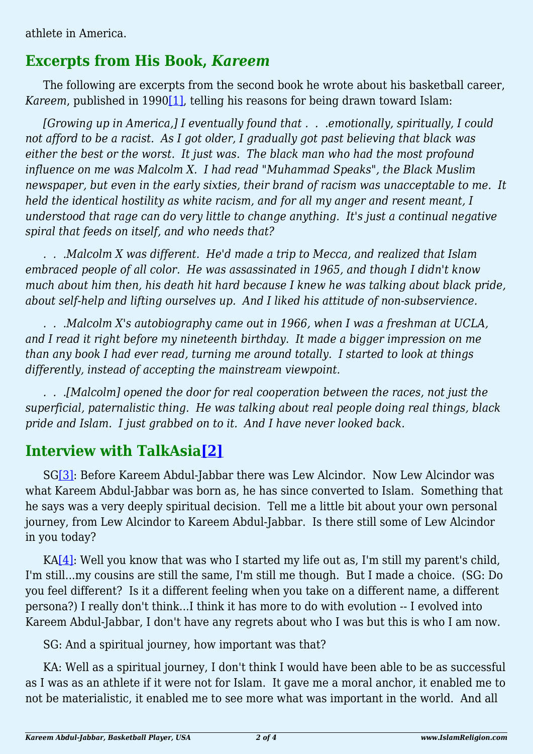athlete in America.

## **Excerpts from His Book,** *Kareem*

<span id="page-1-0"></span>The following are excerpts from the second book he wrote about his basketball career, *Kareem*, published in 199[0\[1\],](#page-2-0) telling his reasons for being drawn toward Islam:

*[Growing up in America,] I eventually found that . . .emotionally, spiritually, I could not afford to be a racist. As I got older, I gradually got past believing that black was either the best or the worst. It just was. The black man who had the most profound influence on me was Malcolm X. I had read "Muhammad Speaks", the Black Muslim newspaper, but even in the early sixties, their brand of racism was unacceptable to me. It held the identical hostility as white racism, and for all my anger and resent meant, I understood that rage can do very little to change anything. It's just a continual negative spiral that feeds on itself, and who needs that?*

*. . .Malcolm X was different. He'd made a trip to Mecca, and realized that Islam embraced people of all color. He was assassinated in 1965, and though I didn't know much about him then, his death hit hard because I knew he was talking about black pride, about self-help and lifting ourselves up. And I liked his attitude of non-subservience.*

*. . .Malcolm X's autobiography came out in 1966, when I was a freshman at UCLA, and I read it right before my nineteenth birthday. It made a bigger impression on me than any book I had ever read, turning me around totally. I started to look at things differently, instead of accepting the mainstream viewpoint.*

*. . .[Malcolm] opened the door for real cooperation between the races, not just the superficial, paternalistic thing. He was talking about real people doing real things, black pride and Islam. I just grabbed on to it. And I have never looked back.*

## <span id="page-1-1"></span>**Interview with TalkAsia[\[2\]](#page-3-0)**

<span id="page-1-2"></span>SG[\[3\]](#page-3-1): Before Kareem Abdul-Jabbar there was Lew Alcindor. Now Lew Alcindor was what Kareem Abdul-Jabbar was born as, he has since converted to Islam. Something that he says was a very deeply spiritual decision. Tell me a little bit about your own personal journey, from Lew Alcindor to Kareem Abdul-Jabbar. Is there still some of Lew Alcindor in you today?

<span id="page-1-3"></span>KA $[4]$ : Well you know that was who I started my life out as, I'm still my parent's child, I'm still...my cousins are still the same, I'm still me though. But I made a choice. (SG: Do you feel different? Is it a different feeling when you take on a different name, a different persona?) I really don't think...I think it has more to do with evolution -- I evolved into Kareem Abdul-Jabbar, I don't have any regrets about who I was but this is who I am now.

SG: And a spiritual journey, how important was that?

KA: Well as a spiritual journey, I don't think I would have been able to be as successful as I was as an athlete if it were not for Islam. It gave me a moral anchor, it enabled me to not be materialistic, it enabled me to see more what was important in the world. And all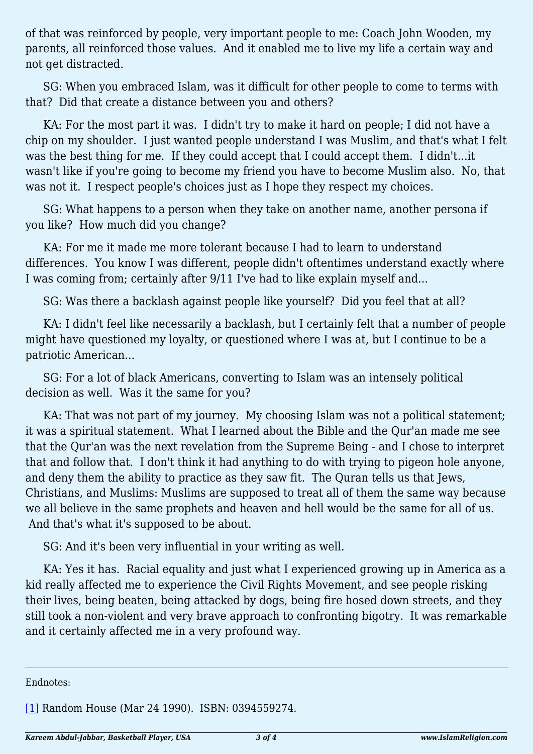of that was reinforced by people, very important people to me: Coach John Wooden, my parents, all reinforced those values. And it enabled me to live my life a certain way and not get distracted.

SG: When you embraced Islam, was it difficult for other people to come to terms with that? Did that create a distance between you and others?

KA: For the most part it was. I didn't try to make it hard on people; I did not have a chip on my shoulder. I just wanted people understand I was Muslim, and that's what I felt was the best thing for me. If they could accept that I could accept them. I didn't...it wasn't like if you're going to become my friend you have to become Muslim also. No, that was not it. I respect people's choices just as I hope they respect my choices.

SG: What happens to a person when they take on another name, another persona if you like? How much did you change?

KA: For me it made me more tolerant because I had to learn to understand differences. You know I was different, people didn't oftentimes understand exactly where I was coming from; certainly after 9/11 I've had to like explain myself and...

SG: Was there a backlash against people like yourself? Did you feel that at all?

KA: I didn't feel like necessarily a backlash, but I certainly felt that a number of people might have questioned my loyalty, or questioned where I was at, but I continue to be a patriotic American...

SG: For a lot of black Americans, converting to Islam was an intensely political decision as well. Was it the same for you?

KA: That was not part of my journey. My choosing Islam was not a political statement; it was a spiritual statement. What I learned about the Bible and the Qur'an made me see that the Qur'an was the next revelation from the Supreme Being - and I chose to interpret that and follow that. I don't think it had anything to do with trying to pigeon hole anyone, and deny them the ability to practice as they saw fit. The Quran tells us that Jews, Christians, and Muslims: Muslims are supposed to treat all of them the same way because we all believe in the same prophets and heaven and hell would be the same for all of us. And that's what it's supposed to be about.

SG: And it's been very influential in your writing as well.

KA: Yes it has. Racial equality and just what I experienced growing up in America as a kid really affected me to experience the Civil Rights Movement, and see people risking their lives, being beaten, being attacked by dogs, being fire hosed down streets, and they still took a non-violent and very brave approach to confronting bigotry. It was remarkable and it certainly affected me in a very profound way.

<span id="page-2-0"></span>Endnotes:

[\[1\]](#page-1-0) Random House (Mar 24 1990). ISBN: 0394559274.